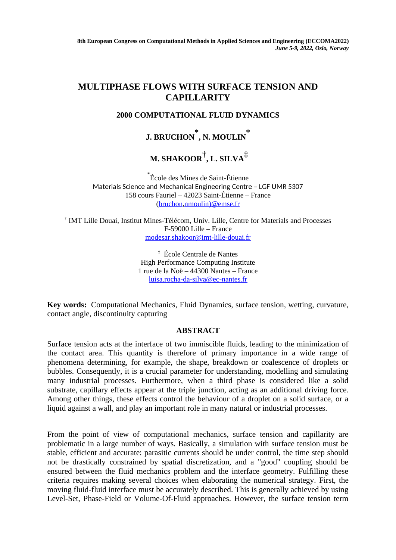**8th European Congress on Computational Methods in Applied Sciences and Engineering (ECCOMA2022)** *June 5-9, 2022, Oslo, Norway*

## **MULTIPHASE FLOWS WITH SURFACE TENSION AND CAPILLARITY**

## **2000 COMPUTATIONAL FLUID DYNAMICS**

**J. BRUCHON \* , N. MOULIN \***

 **M. SHAKOOR† , L. SILVA‡**

\* École des Mines de Saint-Étienne Materials Science and Mechanical Engineering Centre – LGF UMR 5307 158 cours Fauriel – 42023 Saint-Étienne – France [\(bruchon](mailto:bruchon@emse.fr)[,nmoulin\)@emse.fr](mailto:nmoulin@emse.fr)

† IMT Lille Douai, Institut Mines-Télécom, Univ. Lille, Centre for Materials and Processes F-59000 Lille – France [modesar.shakoor@imt-lille-douai.fr](mailto:modesar.shakoor@imt-lille-douai.fr)

> ‡ École Centrale de Nantes High Performance Computing Institute 1 rue de la Noë – 44300 Nantes – France luisa.rocha-da-silva@ec-nantes.fr

**Key words:** Computational Mechanics, Fluid Dynamics, surface tension, wetting, curvature, contact angle, discontinuity capturing

## **ABSTRACT**

Surface tension acts at the interface of two immiscible fluids, leading to the minimization of the contact area. This quantity is therefore of primary importance in a wide range of phenomena determining, for example, the shape, breakdown or coalescence of droplets or bubbles. Consequently, it is a crucial parameter for understanding, modelling and simulating many industrial processes. Furthermore, when a third phase is considered like a solid substrate, capillary effects appear at the triple junction, acting as an additional driving force. Among other things, these effects control the behaviour of a droplet on a solid surface, or a liquid against a wall, and play an important role in many natural or industrial processes.

From the point of view of computational mechanics, surface tension and capillarity are problematic in a large number of ways. Basically, a simulation with surface tension must be stable, efficient and accurate: parasitic currents should be under control, the time step should not be drastically constrained by spatial discretization, and a "good" coupling should be ensured between the fluid mechanics problem and the interface geometry. Fulfilling these criteria requires making several choices when elaborating the numerical strategy. First, the moving fluid-fluid interface must be accurately described. This is generally achieved by using Level-Set, Phase-Field or Volume-Of-Fluid approaches. However, the surface tension term